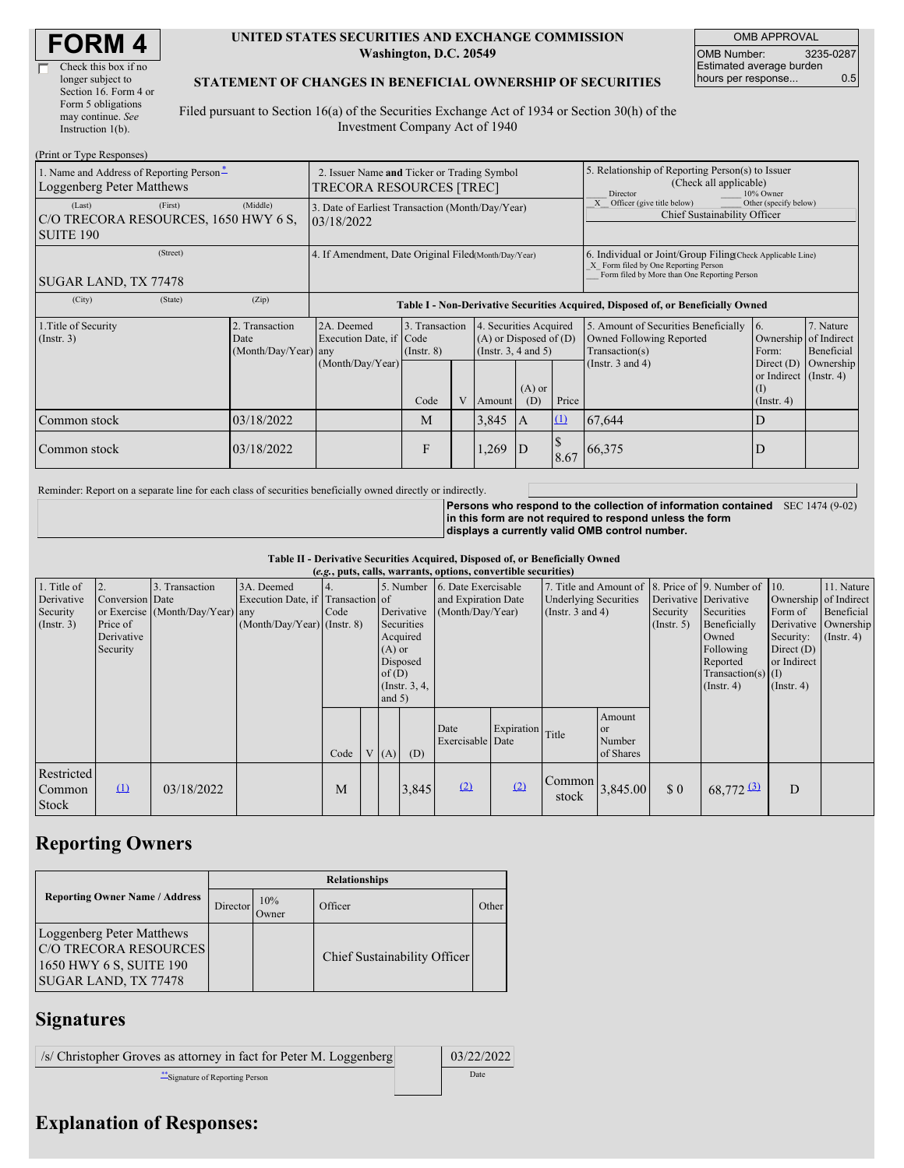| <b>FORM4</b> |
|--------------|
|--------------|

戸

| Check this box if no  |
|-----------------------|
| longer subject to     |
| Section 16. Form 4 or |
| Form 5 obligations    |
| may continue. See     |
| Instruction $1(b)$ .  |
|                       |

#### **UNITED STATES SECURITIES AND EXCHANGE COMMISSION Washington, D.C. 20549**

OMB APPROVAL OMB Number: 3235-0287 Estimated average burden hours per response... 0.5

#### **STATEMENT OF CHANGES IN BENEFICIAL OWNERSHIP OF SECURITIES**

Filed pursuant to Section 16(a) of the Securities Exchange Act of 1934 or Section 30(h) of the Investment Company Act of 1940

| (Print or Type Responses)                                                     |                                                                                |                                                                                  |                                   |  |                                                                              |                                                                                                                                                    |              |                                                                                       |                                                                   |                         |  |
|-------------------------------------------------------------------------------|--------------------------------------------------------------------------------|----------------------------------------------------------------------------------|-----------------------------------|--|------------------------------------------------------------------------------|----------------------------------------------------------------------------------------------------------------------------------------------------|--------------|---------------------------------------------------------------------------------------|-------------------------------------------------------------------|-------------------------|--|
| 1. Name and Address of Reporting Person-<br>Loggenberg Peter Matthews         | 2. Issuer Name and Ticker or Trading Symbol<br><b>TRECORA RESOURCES [TREC]</b> |                                                                                  |                                   |  |                                                                              | 5. Relationship of Reporting Person(s) to Issuer<br>(Check all applicable)<br>Director<br>10% Owner                                                |              |                                                                                       |                                                                   |                         |  |
| (First)<br>(Last)<br>C/O TRECORA RESOURCES, 1650 HWY 6 S.<br><b>SUITE 190</b> | (Middle)                                                                       | 3. Date of Earliest Transaction (Month/Day/Year)<br>03/18/2022                   |                                   |  |                                                                              |                                                                                                                                                    |              | Other (specify below)<br>X Officer (give title below)<br>Chief Sustainability Officer |                                                                   |                         |  |
| (Street)<br>SUGAR LAND, TX 77478                                              | 4. If Amendment, Date Original Filed(Month/Day/Year)                           |                                                                                  |                                   |  |                                                                              | 6. Individual or Joint/Group Filing(Check Applicable Line)<br>X Form filed by One Reporting Person<br>Form filed by More than One Reporting Person |              |                                                                                       |                                                                   |                         |  |
| (City)<br>(State)                                                             | (Zip)                                                                          | Table I - Non-Derivative Securities Acquired, Disposed of, or Beneficially Owned |                                   |  |                                                                              |                                                                                                                                                    |              |                                                                                       |                                                                   |                         |  |
| 1. Title of Security<br>$($ Instr. 3 $)$                                      | 2. Transaction<br>Date<br>(Month/Day/Year) any                                 | 2A. Deemed<br>Execution Date, if Code                                            | 3. Transaction<br>$($ Instr. $8)$ |  | 4. Securities Acquired<br>$(A)$ or Disposed of $(D)$<br>(Insert. 3, 4 and 5) |                                                                                                                                                    |              | 5. Amount of Securities Beneficially<br>Owned Following Reported<br>Transaction(s)    | 16.<br>Ownership of Indirect<br>Form:                             | 7. Nature<br>Beneficial |  |
|                                                                               |                                                                                | (Month/Day/Year)                                                                 | Code                              |  | Amount                                                                       | $(A)$ or<br>(D)                                                                                                                                    | Price        | (Instr. $3$ and $4$ )                                                                 | Direct $(D)$<br>or Indirect (Instr. 4)<br>(I)<br>$($ Instr. 4 $)$ | Ownership               |  |
| Common stock                                                                  | 03/18/2022                                                                     |                                                                                  | M                                 |  | 3,845                                                                        | $\mathbf{A}$                                                                                                                                       | $\mathbf{u}$ | 67,644                                                                                | D                                                                 |                         |  |
| Common stock                                                                  | 03/18/2022                                                                     |                                                                                  | F                                 |  | .269                                                                         | D                                                                                                                                                  | 8.67         | 66,375                                                                                | D                                                                 |                         |  |

Reminder: Report on a separate line for each class of securities beneficially owned directly or indirectly.

**Persons who respond to the collection of information contained** SEC 1474 (9-02) **in this form are not required to respond unless the form displays a currently valid OMB control number.**

**Table II - Derivative Securities Acquired, Disposed of, or Beneficially Owned**

| (e.g., puts, calls, warrants, options, convertible securities) |                                    |                                                    |                                                 |                    |  |                                                                          |                                                                                        |                                                                                                         |                  |                                   |                                                |             |                                                                                       |                                                              |                                          |
|----------------------------------------------------------------|------------------------------------|----------------------------------------------------|-------------------------------------------------|--------------------|--|--------------------------------------------------------------------------|----------------------------------------------------------------------------------------|---------------------------------------------------------------------------------------------------------|------------------|-----------------------------------|------------------------------------------------|-------------|---------------------------------------------------------------------------------------|--------------------------------------------------------------|------------------------------------------|
| 1. Title of<br>Derivative<br>Security                          | 2.<br>Conversion Date              | 3. Transaction<br>or Exercise (Month/Day/Year) any | 3A. Deemed<br>Execution Date, if Transaction of | Code<br>Derivative |  | 5. Number 6. Date Exercisable<br>and Expiration Date<br>(Month/Day/Year) |                                                                                        | 7. Title and Amount of 8. Price of 9. Number of 10.<br><b>Underlying Securities</b><br>(Instr. 3 and 4) |                  | Derivative Derivative<br>Security | Securities                                     | Form of     | 11. Nature<br>Ownership of Indirect<br>Beneficial                                     |                                                              |                                          |
| (Insert. 3)                                                    | Price of<br>Derivative<br>Security |                                                    | $(Month/Day/Year)$ (Instr. 8)                   |                    |  |                                                                          | Securities<br>Acquired<br>$(A)$ or<br>Disposed<br>of(D)<br>(Instr. $3, 4,$<br>and $5)$ |                                                                                                         |                  |                                   |                                                | (Insert. 5) | Beneficially<br>Owned<br>Following<br>Reported<br>$Transaction(s)$ (I)<br>(Insert. 4) | Security:<br>Direct $(D)$<br>or Indirect<br>$($ Instr. 4 $)$ | Derivative Ownership<br>$($ Instr. 4 $)$ |
|                                                                |                                    |                                                    |                                                 | Code               |  | V(A)                                                                     | (D)                                                                                    | Date<br>Exercisable Date                                                                                | Expiration Title |                                   | Amount<br><sub>or</sub><br>Number<br>of Shares |             |                                                                                       |                                                              |                                          |
| Restricted<br>Common<br><b>Stock</b>                           | $\Omega$                           | 03/18/2022                                         |                                                 | M                  |  |                                                                          | 3,845                                                                                  | (2)                                                                                                     | (2)              | Common<br>stock                   | 3,845.00                                       | \$0         | $68,772$ $(3)$                                                                        | D                                                            |                                          |

# **Reporting Owners**

|                                                                                                       | <b>Relationships</b> |              |                              |       |  |  |  |  |  |
|-------------------------------------------------------------------------------------------------------|----------------------|--------------|------------------------------|-------|--|--|--|--|--|
| <b>Reporting Owner Name / Address</b>                                                                 | Director             | 10%<br>Owner | Officer                      | Other |  |  |  |  |  |
| Loggenberg Peter Matthews<br>C/O TRECORA RESOURCES<br>1650 HWY 6 S, SUITE 190<br>SUGAR LAND, TX 77478 |                      |              | Chief Sustainability Officer |       |  |  |  |  |  |

### **Signatures**

| /s/ Christopher Groves as attorney in fact for Peter M. Loggenberg | 03/22/2022 |
|--------------------------------------------------------------------|------------|
| Signature of Reporting Person                                      | Date       |

# **Explanation of Responses:**